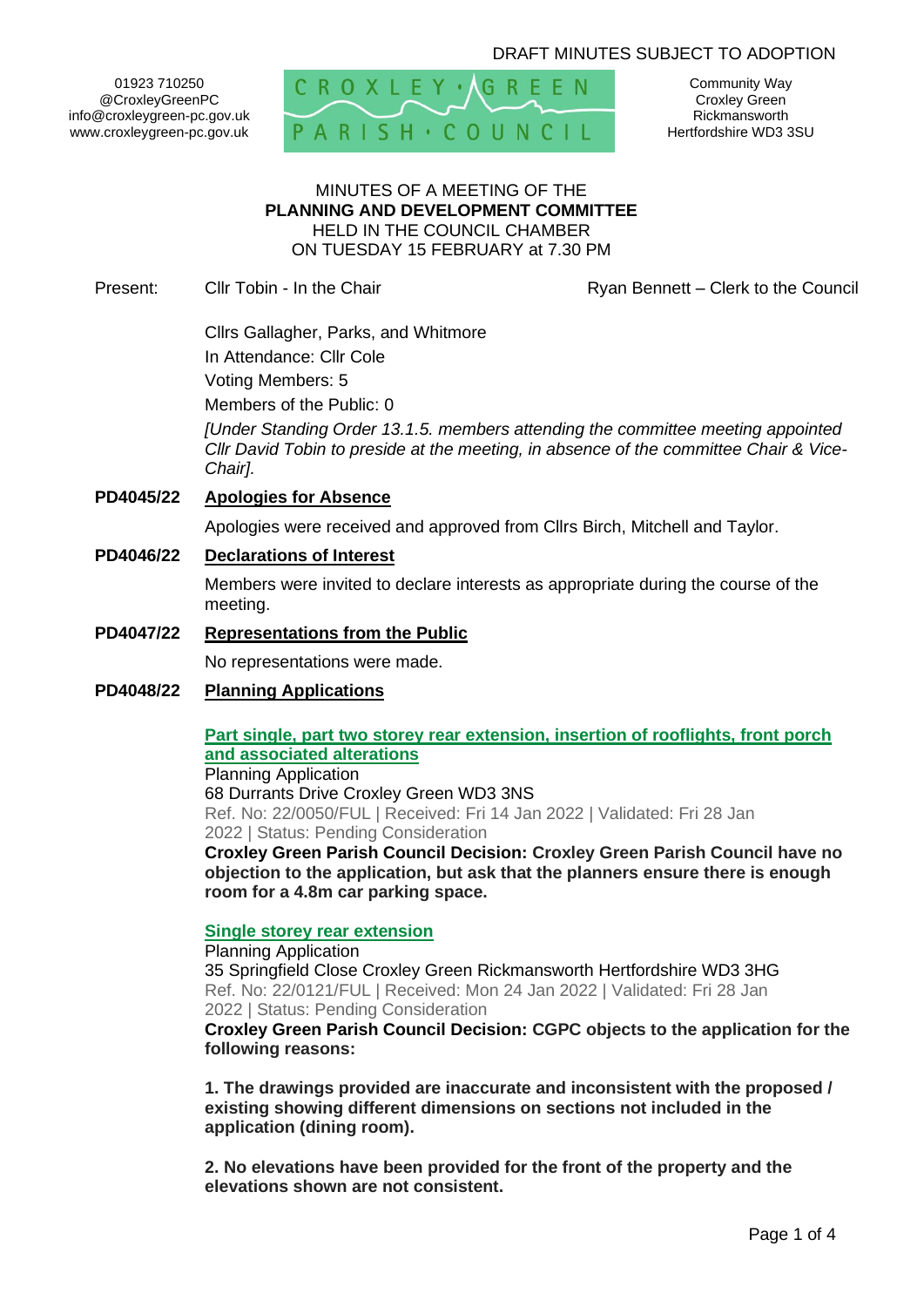# DRAFT MINUTES SUBJECT TO ADOPTION

01923 710250 @CroxleyGreenPC info@croxleygreen-pc.gov.uk www.croxleygreen-pc.gov.uk



Community Way Croxley Green Rickmansworth Hertfordshire WD3 3SU

#### MINUTES OF A MEETING OF THE **PLANNING AND DEVELOPMENT COMMITTEE** HELD IN THE COUNCIL CHAMBER ON TUESDAY 15 FEBRUARY at 7.30 PM

Present: Cllr Tobin - In the Chair **Ryan Bennett – Clerk to the Council** 

Cllrs Gallagher, Parks, and Whitmore

In Attendance: Cllr Cole

Voting Members: 5

Members of the Public: 0

*[Under Standing Order 13.1.5. members attending the committee meeting appointed Cllr David Tobin to preside at the meeting, in absence of the committee Chair & Vice-Chair].* 

### **PD4045/22 Apologies for Absence**

Apologies were received and approved from Cllrs Birch, Mitchell and Taylor.

### **PD4046/22 Declarations of Interest**

Members were invited to declare interests as appropriate during the course of the meeting.

### **PD4047/22 Representations from the Public**

No representations were made.

# **PD4048/22 Planning Applications**

### **[Part single, part two storey rear extension, insertion of rooflights, front porch](https://www3.threerivers.gov.uk/online-applications/applicationDetails.do?activeTab=summary&keyVal=R5OWXOQFIJ800&prevPage=inTray)  [and associated alterations](https://www3.threerivers.gov.uk/online-applications/applicationDetails.do?activeTab=summary&keyVal=R5OWXOQFIJ800&prevPage=inTray)**

Planning Application 68 Durrants Drive Croxley Green WD3 3NS Ref. No: 22/0050/FUL | Received: Fri 14 Jan 2022 | Validated: Fri 28 Jan 2022 | Status: Pending Consideration

**Croxley Green Parish Council Decision: Croxley Green Parish Council have no objection to the application, but ask that the planners ensure there is enough room for a 4.8m car parking space.**

### **[Single storey rear extension](https://www3.threerivers.gov.uk/online-applications/applicationDetails.do?activeTab=summary&keyVal=R69IKJQF0DC00&prevPage=inTray)**

Planning Application 35 Springfield Close Croxley Green Rickmansworth Hertfordshire WD3 3HG Ref. No: 22/0121/FUL | Received: Mon 24 Jan 2022 | Validated: Fri 28 Jan 2022 | Status: Pending Consideration

**Croxley Green Parish Council Decision: CGPC objects to the application for the following reasons:**

**1. The drawings provided are inaccurate and inconsistent with the proposed / existing showing different dimensions on sections not included in the application (dining room).**

**2. No elevations have been provided for the front of the property and the elevations shown are not consistent.**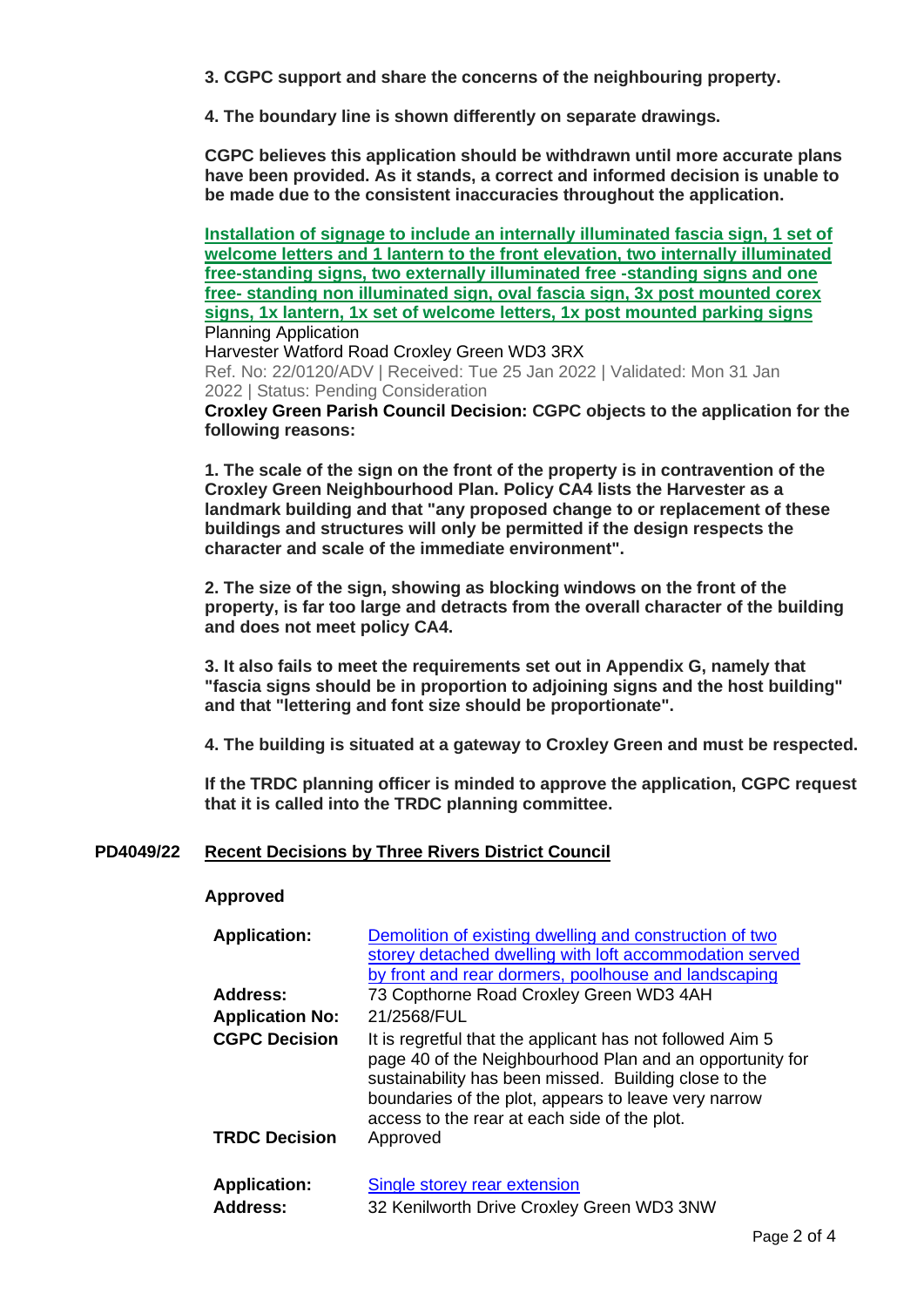**3. CGPC support and share the concerns of the neighbouring property.**

**4. The boundary line is shown differently on separate drawings.**

**CGPC believes this application should be withdrawn until more accurate plans have been provided. As it stands, a correct and informed decision is unable to be made due to the consistent inaccuracies throughout the application.**

**[Installation of signage to include an internally illuminated fascia sign, 1 set of](https://www3.threerivers.gov.uk/online-applications/applicationDetails.do?activeTab=summary&keyVal=R69AA2QFING00&prevPage=inTray)  [welcome letters and 1 lantern to the front elevation, two internally illuminated](https://www3.threerivers.gov.uk/online-applications/applicationDetails.do?activeTab=summary&keyVal=R69AA2QFING00&prevPage=inTray)  [free-standing signs, two externally illuminated free -standing signs and one](https://www3.threerivers.gov.uk/online-applications/applicationDetails.do?activeTab=summary&keyVal=R69AA2QFING00&prevPage=inTray)  free- [standing non illuminated sign, oval fascia sign, 3x post mounted corex](https://www3.threerivers.gov.uk/online-applications/applicationDetails.do?activeTab=summary&keyVal=R69AA2QFING00&prevPage=inTray)  [signs, 1x lantern, 1x set of welcome letters, 1x post mounted parking signs](https://www3.threerivers.gov.uk/online-applications/applicationDetails.do?activeTab=summary&keyVal=R69AA2QFING00&prevPage=inTray)** Planning Application

Harvester Watford Road Croxley Green WD3 3RX Ref. No: 22/0120/ADV | Received: Tue 25 Jan 2022 | Validated: Mon 31 Jan 2022 | Status: Pending Consideration

**Croxley Green Parish Council Decision: CGPC objects to the application for the following reasons:**

**1. The scale of the sign on the front of the property is in contravention of the Croxley Green Neighbourhood Plan. Policy CA4 lists the Harvester as a landmark building and that "any proposed change to or replacement of these buildings and structures will only be permitted if the design respects the character and scale of the immediate environment".** 

**2. The size of the sign, showing as blocking windows on the front of the property, is far too large and detracts from the overall character of the building and does not meet policy CA4.**

**3. It also fails to meet the requirements set out in Appendix G, namely that "fascia signs should be in proportion to adjoining signs and the host building" and that "lettering and font size should be proportionate".**

**4. The building is situated at a gateway to Croxley Green and must be respected.**

**If the TRDC planning officer is minded to approve the application, CGPC request that it is called into the TRDC planning committee.**

### **PD4049/22 Recent Decisions by Three Rivers District Council**

#### **Approved**

| <b>Application:</b>    | Demolition of existing dwelling and construction of two                                                                                                                                                                                                                                |
|------------------------|----------------------------------------------------------------------------------------------------------------------------------------------------------------------------------------------------------------------------------------------------------------------------------------|
|                        | storey detached dwelling with loft accommodation served                                                                                                                                                                                                                                |
|                        | by front and rear dormers, poolhouse and landscaping                                                                                                                                                                                                                                   |
| <b>Address:</b>        | 73 Copthorne Road Croxley Green WD3 4AH                                                                                                                                                                                                                                                |
| <b>Application No:</b> | 21/2568/FUL                                                                                                                                                                                                                                                                            |
| <b>CGPC Decision</b>   | It is regretful that the applicant has not followed Aim 5<br>page 40 of the Neighbourhood Plan and an opportunity for<br>sustainability has been missed. Building close to the<br>boundaries of the plot, appears to leave very narrow<br>access to the rear at each side of the plot. |
| <b>TRDC Decision</b>   | Approved                                                                                                                                                                                                                                                                               |
| <b>Application:</b>    | Single storey rear extension                                                                                                                                                                                                                                                           |
| <b>Address:</b>        | 32 Kenilworth Drive Croxley Green WD3 3NW                                                                                                                                                                                                                                              |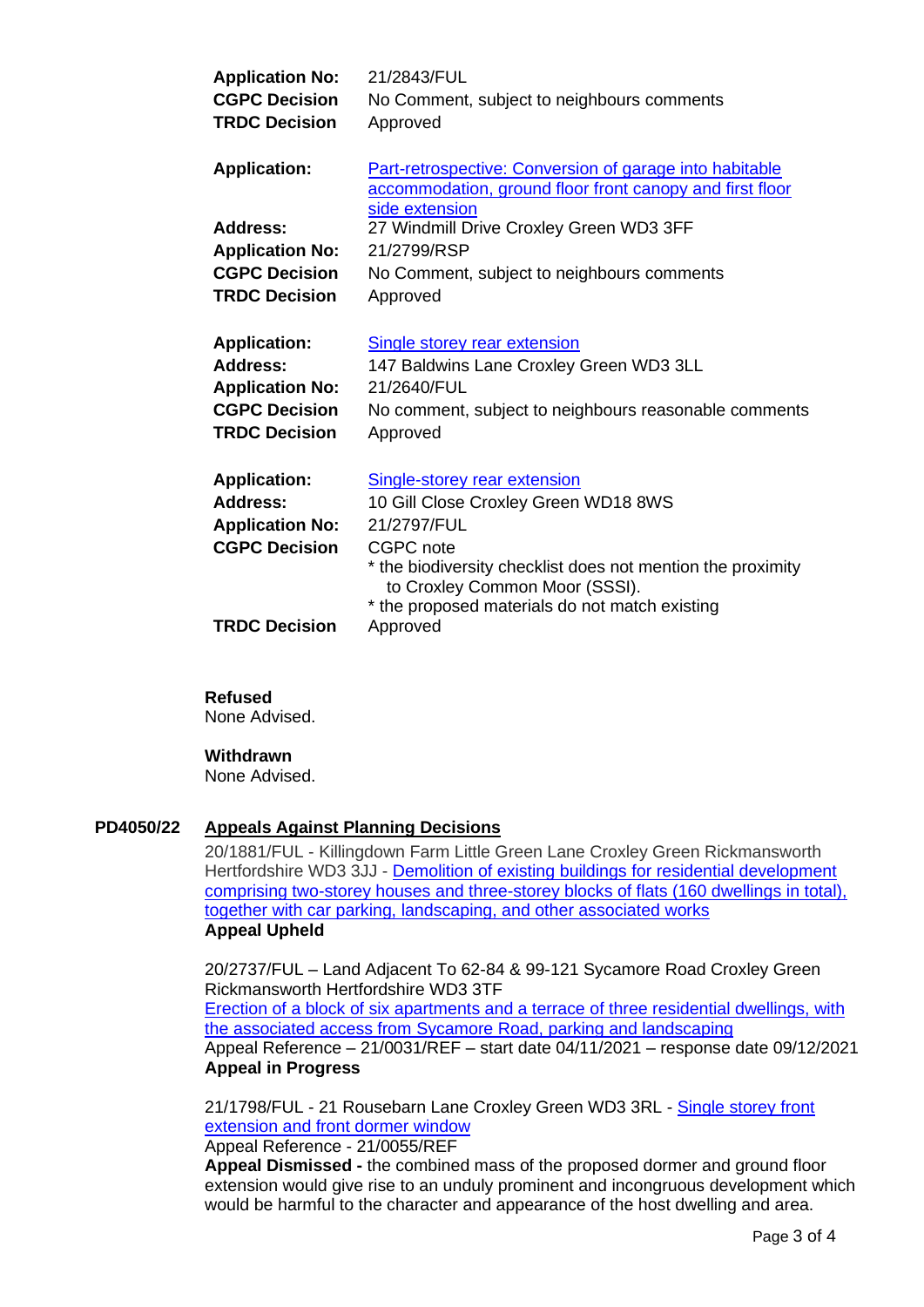| <b>Application No:</b>                       | 21/2843/FUL                                                                                                                           |
|----------------------------------------------|---------------------------------------------------------------------------------------------------------------------------------------|
| <b>CGPC Decision</b>                         | No Comment, subject to neighbours comments                                                                                            |
| <b>TRDC Decision</b>                         | Approved                                                                                                                              |
| <b>Application:</b>                          | Part-retrospective: Conversion of garage into habitable<br>accommodation, ground floor front canopy and first floor<br>side extension |
| <b>Address:</b>                              | 27 Windmill Drive Croxley Green WD3 3FF                                                                                               |
| <b>Application No:</b>                       | 21/2799/RSP                                                                                                                           |
| <b>CGPC Decision</b>                         | No Comment, subject to neighbours comments                                                                                            |
| <b>TRDC Decision</b>                         | Approved                                                                                                                              |
| <b>Application:</b><br><b>Address:</b>       | <b>Single storey rear extension</b><br>147 Baldwins Lane Croxley Green WD3 3LL                                                        |
| <b>Application No:</b>                       | 21/2640/FUL                                                                                                                           |
| <b>CGPC Decision</b><br><b>TRDC Decision</b> | No comment, subject to neighbours reasonable comments<br>Approved                                                                     |
| <b>Application:</b>                          | <b>Single-storey rear extension</b>                                                                                                   |
| <b>Address:</b>                              | 10 Gill Close Croxley Green WD18 8WS                                                                                                  |
| <b>Application No:</b>                       | 21/2797/FUL                                                                                                                           |
| <b>CGPC Decision</b>                         | CGPC note                                                                                                                             |
|                                              | * the biodiversity checklist does not mention the proximity<br>to Croxley Common Moor (SSSI).                                         |
|                                              | * the proposed materials do not match existing                                                                                        |
| <b>TRDC Decision</b>                         | Approved                                                                                                                              |

### **Refused**

None Advised.

## **Withdrawn**

None Advised.

### **PD4050/22 Appeals Against Planning Decisions**

20/1881/FUL - Killingdown Farm Little Green Lane Croxley Green Rickmansworth Hertfordshire WD3 3JJ - Demolition [of existing buildings for residential development](https://www3.threerivers.gov.uk/online-applications/applicationDetails.do?activeTab=summary&keyVal=QGG2ZQQF0D100&prevPage=inTray)  comprising two-storey houses [and three-storey blocks of flats \(160 dwellings in total\),](https://www3.threerivers.gov.uk/online-applications/applicationDetails.do?activeTab=summary&keyVal=QGG2ZQQF0D100&prevPage=inTray)  [together with car parking, landscaping, and other associated works](https://www3.threerivers.gov.uk/online-applications/applicationDetails.do?activeTab=summary&keyVal=QGG2ZQQF0D100&prevPage=inTray) **Appeal Upheld**

20/2737/FUL – Land Adjacent To 62-84 & 99-121 Sycamore Road Croxley Green Rickmansworth Hertfordshire WD3 3TF

[Erection of a block of six apartments and a terrace of three residential dwellings, with](https://www3.threerivers.gov.uk/online-applications/applicationDetails.do?activeTab=summary&keyVal=QLIZOLQFLMZ00&prevPage=inTray)  the associated access from [Sycamore Road, parking and landscaping](https://www3.threerivers.gov.uk/online-applications/applicationDetails.do?activeTab=summary&keyVal=QLIZOLQFLMZ00&prevPage=inTray) Appeal Reference – 21/0031/REF – start date 04/11/2021 – response date 09/12/2021 **Appeal in Progress**

21/1798/FUL - 21 Rousebarn Lane Croxley Green WD3 3RL - [Single storey front](https://www3.threerivers.gov.uk/online-applications/applicationDetails.do?activeTab=summary&keyVal=QWDNINQFGN100&prevPage=inTray)  [extension and front dormer window](https://www3.threerivers.gov.uk/online-applications/applicationDetails.do?activeTab=summary&keyVal=QWDNINQFGN100&prevPage=inTray)

#### Appeal Reference - 21/0055/REF

**Appeal Dismissed -** the combined mass of the proposed dormer and ground floor extension would give rise to an unduly prominent and incongruous development which would be harmful to the character and appearance of the host dwelling and area.